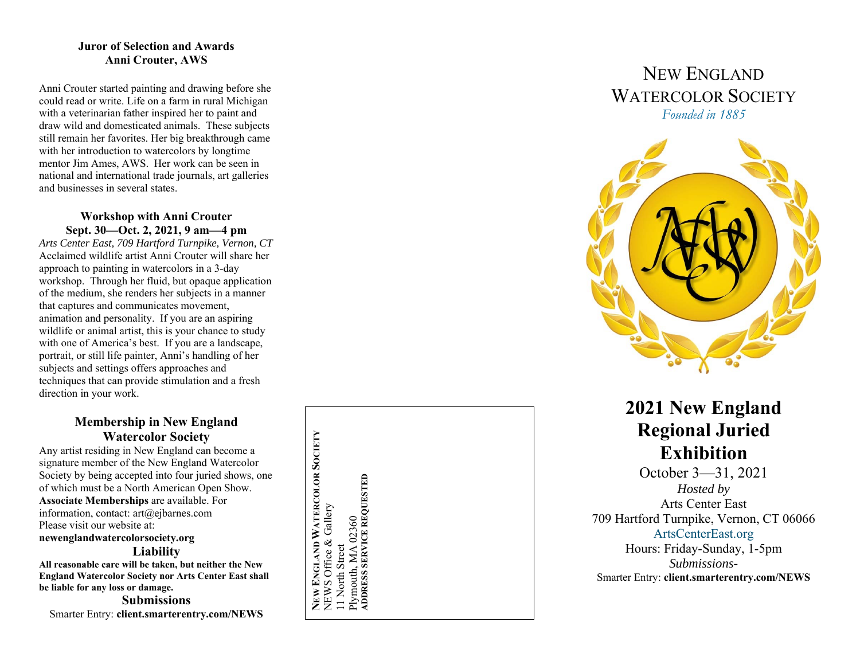#### **Juror of Selection and Awards Anni Crouter, AWS**

Anni Crouter started painting and drawing before she could read or write. Life on a farm in rural Michigan with a veterinarian father inspired her to paint and draw wild and domesticated animals. These subjects still remain her favorites. Her big breakthrough came with her introduction to watercolors by longtime mentor Jim Ames, AWS. Her work can be seen in national and international trade journals, art galleries and businesses in several states.

### **Workshop with Anni Crouter Sept. 30—Oct. 2, 2021, 9 am—4 pm**

*Arts Center East, 709 Hartford Turnpike, Vernon, CT*  Acclaimed wildlife artist Anni Crouter will share her approach to painting in watercolors in a 3-day workshop. Through her fluid, but opaque application of the medium, she renders her subjects in a manner that captures and communicates movement, animation and personality. If you are an aspiring wildlife or animal artist, this is your chance to study with one of America's best. If you are a landscape, portrait, or still life painter, Anni's handling of her subjects and settings offers approaches and techniques that can provide stimulation and a fresh direction in your work.

### **Membership in New England Watercolor Society**

Any artist residing in New England can become a signature member of the New England Watercolor Society by being accepted into four juried shows, one of which must be a North American Open Show. **Associate Memberships** are available. For information, contact: art@ejbarnes.com Please visit our website at: **newenglandwatercolorsociety.org Liability** 

**All reasonable care will be taken, but neither the New England Watercolor Society nor Arts Center East shall be liable for any loss or damage.** 

**Submissions** Smarter Entry: **client.smarterentry.com/NEWS**

**NEW ENGLAND WATERCOLOR SOCIETY**  NEW ENGLAND WATERCOLOR SOCIETY Plymouth, MA 02360<br>ADDRESS SERVICE REQUESTED **ADDRESS SERVICE REQUESTED**NEWS Office & Gallery NEWS Office & Gallery Plymouth, MA 02360 11 North Street 11 North Street

# NEW ENGLANDWATERCOLOR SOCIETY *Founded in 1885*



# **2021 New England Regional Juried Exhibition**

October 3—31, 2021 *Hosted by*  Arts Center East 709 Hartford Turnpike, Vernon, CT 06066 ArtsCenterEast.org Hours: Friday-Sunday, 1-5pm *Submissions-*Smarter Entry: **client.smarterentry.com/NEWS**